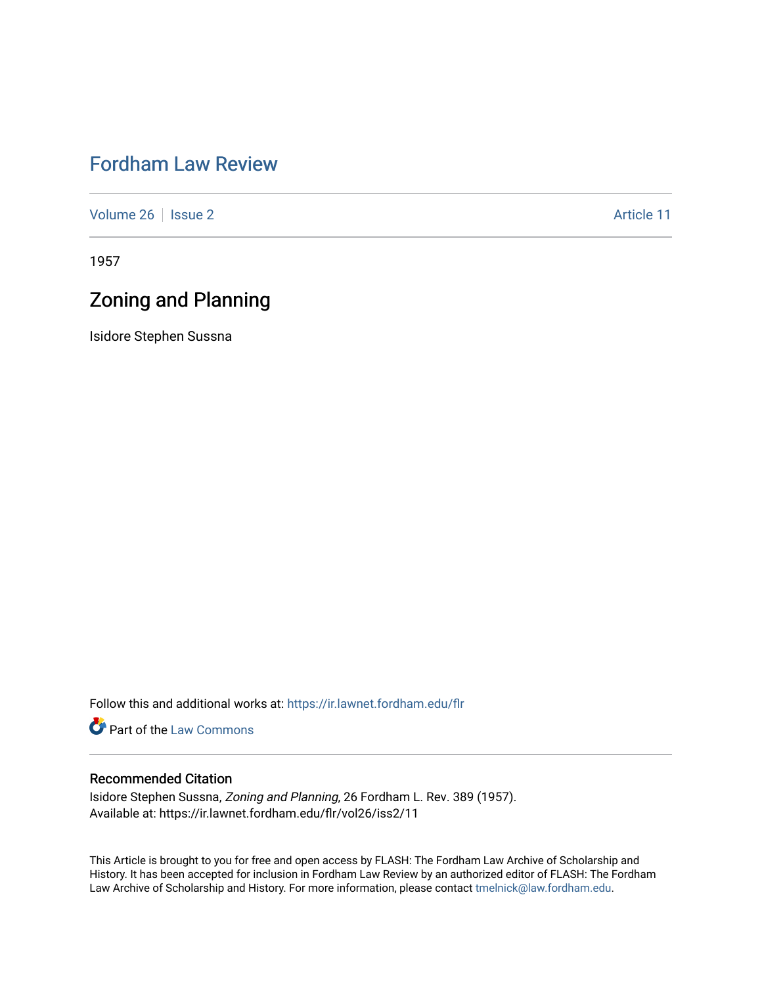## [Fordham Law Review](https://ir.lawnet.fordham.edu/flr)

[Volume 26](https://ir.lawnet.fordham.edu/flr/vol26) | [Issue 2](https://ir.lawnet.fordham.edu/flr/vol26/iss2) Article 11

1957

## Zoning and Planning

Isidore Stephen Sussna

Follow this and additional works at: [https://ir.lawnet.fordham.edu/flr](https://ir.lawnet.fordham.edu/flr?utm_source=ir.lawnet.fordham.edu%2Fflr%2Fvol26%2Fiss2%2F11&utm_medium=PDF&utm_campaign=PDFCoverPages)

**Part of the [Law Commons](http://network.bepress.com/hgg/discipline/578?utm_source=ir.lawnet.fordham.edu%2Fflr%2Fvol26%2Fiss2%2F11&utm_medium=PDF&utm_campaign=PDFCoverPages)** 

## Recommended Citation

Isidore Stephen Sussna, Zoning and Planning, 26 Fordham L. Rev. 389 (1957). Available at: https://ir.lawnet.fordham.edu/flr/vol26/iss2/11

This Article is brought to you for free and open access by FLASH: The Fordham Law Archive of Scholarship and History. It has been accepted for inclusion in Fordham Law Review by an authorized editor of FLASH: The Fordham Law Archive of Scholarship and History. For more information, please contact [tmelnick@law.fordham.edu](mailto:tmelnick@law.fordham.edu).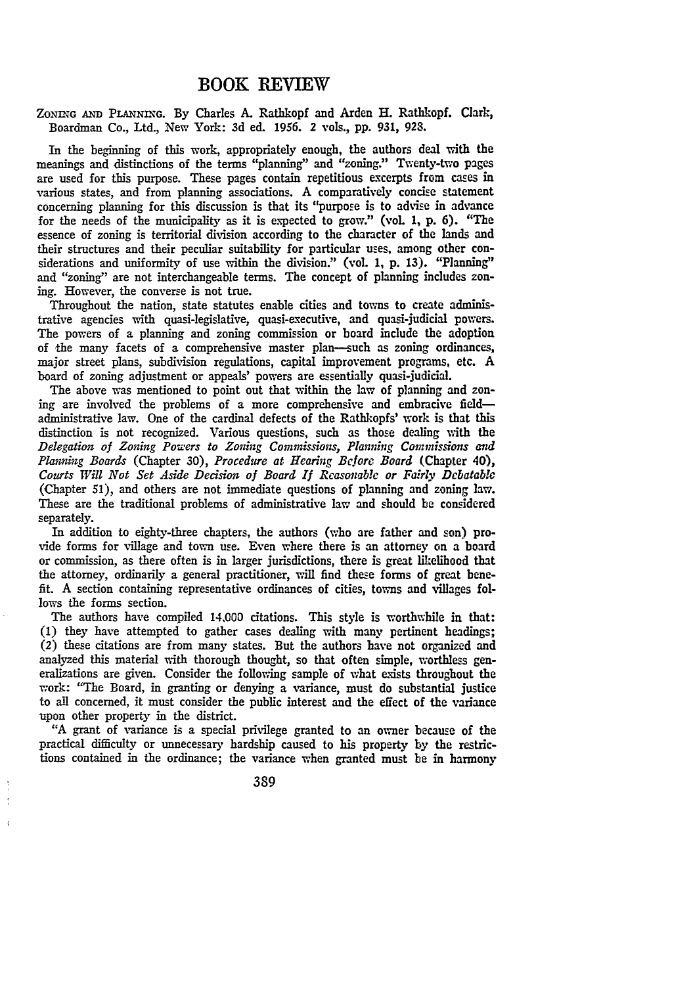ZONING **MM PLANNMG. By** Charles A. Rathkopf and Arden H. Rathkopf. Clark, Boardman Co., Ltd., New York: 3d ed. 1956. 2 vols., **pp. 931, 928.**

In the beginning of this work, appropriately enough, the authors deal with the meanings and distinctions of the terms "planning" and "zoning." Twenty-two pages are used for this purpose. These pages contain repetitious excerpts from cases in various states, and from planning associations. **A** comparatively concise statement concerning planning for this discussion is that its "purpose is to advise in advance for the needs of the municipality as it is expected to grow." (voL 1, p. 6). "The essence of zoning is territorial division according to the character of the lands and their structures and their peculiar suitability for particular uses, among other considerations and uniformity of use within the division." (vol. 1, p. 13). "Planning" and "zoning" are not interchangeable terms. The concept of planning includes **zon**ing. However, the converse is not true.

Throughout the nation, state statutes enable cities and towns to create administrative agencies with quasi-legislative, quasi-executive, and quasi-judicial powers. The powers of a planning and zoning commission or board include the adoption of the many facets of a comprehensive master plan--such as zoning ordinances, major street plans, subdivision regulations, capital improvement programs, etc. A board of zoning adjustment or appeals' powers are essentially quasi-judicial.

The above was mentioned to point out that within the law of planning and zoning are involved the problems of a more comprehensive and embracive fieldadministrative law. One of the cardinal defects of the Rathkopfs' work is that this distinction is not recognized. Various questions, such as those dealing with the *Delegation of Zoning Powers to Zoning Commissions, Planning Commissions and Planning Boards* (Chapter 30), *Procedure at Hearing Before Board* (Chapter 40), *Courts Will Not Set Aside Decision of Board If Reasonable or Fairly Debatable* (Chapter **51),** and others are not immediate questions of planning and zoning law. These are the traditional problems of administrative law and should be considered separately.

In addition to eighty-three chapters, the authors (who are father and son) provide forms for village and town use. Even where there is an attorney on a board or commission, as there often is in larger jurisdictions, there is great likelihood that the attorney, ordinarily a general practitioner, will find these forms of great benefit. A section containing representative ordinances of cities, towns and villages follows the forms section.

The authors have compiled 14,000 citations. This style is worthwhile in that: **(1)** they have attempted to gather cases dealing with many pertinent headings; *(2)* these citations are from many states. But the authors have not organized and analyzed this material with thorough thought, so that often simple, worthless generalizations are given. Consider the following sample of what exists throughout the work: "The Board, in granting or denying a variance, must do substantial justice to all concerned, it must consider the public interest and the effect of the variance upon other property in the district.

"A grant of variance is a special privilege granted to an owner because of the practical difficulty or unnecessary hardship caused to his property **by** the restrictions contained in the ordinance; the variance when granted must be in harmony

389